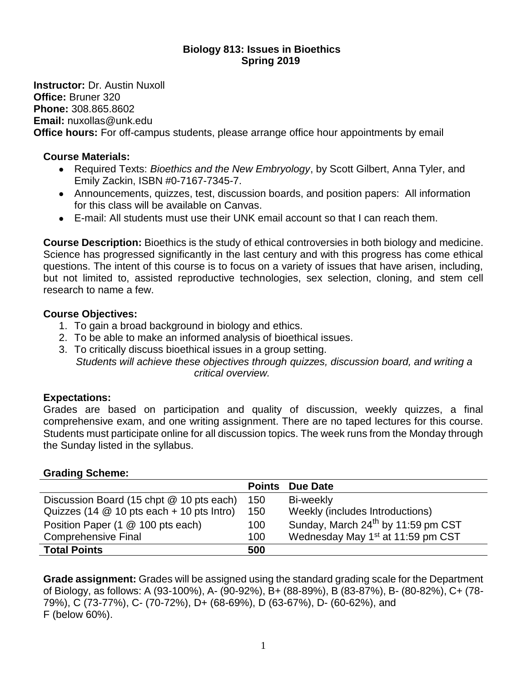### **Biology 813: Issues in Bioethics Spring 2019**

**Instructor:** Dr. Austin Nuxoll **Office:** Bruner 320 **Phone:** 308.865.8602 **Email:** nuxollas@unk.edu **Office hours:** For off-campus students, please arrange office hour appointments by email

#### **Course Materials:**

- Required Texts: *Bioethics and the New Embryology*, by Scott Gilbert, Anna Tyler, and Emily Zackin, ISBN #0-7167-7345-7.
- Announcements, quizzes, test, discussion boards, and position papers: All information for this class will be available on Canvas.
- E-mail: All students must use their UNK email account so that I can reach them.

**Course Description:** Bioethics is the study of ethical controversies in both biology and medicine. Science has progressed significantly in the last century and with this progress has come ethical questions. The intent of this course is to focus on a variety of issues that have arisen, including, but not limited to, assisted reproductive technologies, sex selection, cloning, and stem cell research to name a few.

### **Course Objectives:**

- 1. To gain a broad background in biology and ethics.
- 2. To be able to make an informed analysis of bioethical issues.
- 3. To critically discuss bioethical issues in a group setting. *Students will achieve these objectives through quizzes, discussion board, and writing a critical overview.*

### **Expectations:**

Grades are based on participation and quality of discussion, weekly quizzes, a final comprehensive exam, and one writing assignment. There are no taped lectures for this course. Students must participate online for all discussion topics. The week runs from the Monday through the Sunday listed in the syllabus.

### **Grading Scheme:**

|                                             | <b>Points</b> | <b>Due Date</b>                                |  |
|---------------------------------------------|---------------|------------------------------------------------|--|
| Discussion Board (15 chpt @ 10 pts each)    | 150           | Bi-weekly                                      |  |
| Quizzes (14 $@$ 10 pts each + 10 pts Intro) | 150           | Weekly (includes Introductions)                |  |
| Position Paper (1 @ 100 pts each)           | 100           | Sunday, March 24 <sup>th</sup> by 11:59 pm CST |  |
| <b>Comprehensive Final</b>                  | 100           | Wednesday May 1 <sup>st</sup> at 11:59 pm CST  |  |
| <b>Total Points</b>                         | 500           |                                                |  |

**Grade assignment:** Grades will be assigned using the standard grading scale for the Department of Biology, as follows: A (93-100%), A- (90-92%), B+ (88-89%), B (83-87%), B- (80-82%), C+ (78- 79%), C (73-77%), C- (70-72%), D+ (68-69%), D (63-67%), D- (60-62%), and F (below 60%).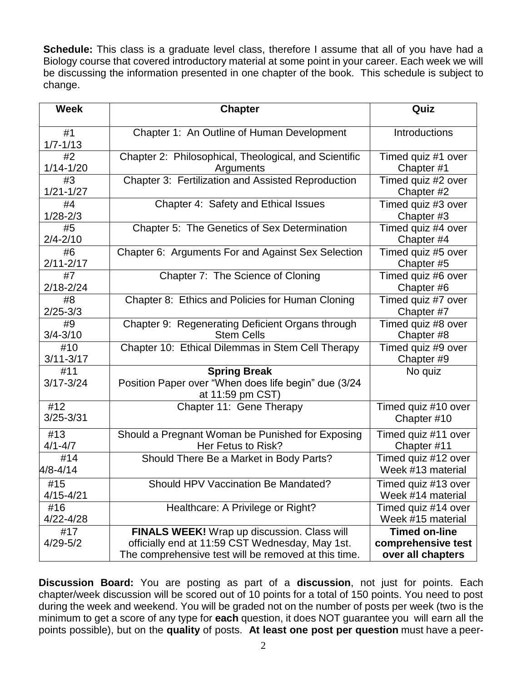**Schedule:** This class is a graduate level class, therefore I assume that all of you have had a Biology course that covered introductory material at some point in your career. Each week we will be discussing the information presented in one chapter of the book. This schedule is subject to change.

| <b>Week</b>          | <b>Chapter</b>                                                                                                                                         | Quiz                                                            |
|----------------------|--------------------------------------------------------------------------------------------------------------------------------------------------------|-----------------------------------------------------------------|
| #1<br>$1/7 - 1/13$   | Chapter 1: An Outline of Human Development                                                                                                             | Introductions                                                   |
| #2<br>$1/14 - 1/20$  | Chapter 2: Philosophical, Theological, and Scientific<br>Arguments                                                                                     | Timed quiz #1 over<br>Chapter #1                                |
| #3<br>$1/21 - 1/27$  | Chapter 3: Fertilization and Assisted Reproduction                                                                                                     | Timed quiz #2 over<br>Chapter #2                                |
| #4<br>$1/28 - 2/3$   | Chapter 4: Safety and Ethical Issues                                                                                                                   | Timed quiz #3 over<br>Chapter #3                                |
| #5<br>$2/4 - 2/10$   | Chapter 5: The Genetics of Sex Determination                                                                                                           | Timed quiz #4 over<br>Chapter #4                                |
| #6<br>$2/11 - 2/17$  | Chapter 6: Arguments For and Against Sex Selection                                                                                                     | Timed quiz #5 over<br>Chapter #5                                |
| #7<br>$2/18 - 2/24$  | Chapter 7: The Science of Cloning                                                                                                                      | Timed quiz #6 over<br>Chapter #6                                |
| #8<br>$2/25 - 3/3$   | Chapter 8: Ethics and Policies for Human Cloning                                                                                                       | Timed quiz #7 over<br>Chapter #7                                |
| #9<br>$3/4 - 3/10$   | Chapter 9: Regenerating Deficient Organs through<br><b>Stem Cells</b>                                                                                  | Timed quiz #8 over<br>Chapter #8                                |
| #10<br>$3/11 - 3/17$ | Chapter 10: Ethical Dilemmas in Stem Cell Therapy                                                                                                      | Timed quiz #9 over<br>Chapter #9                                |
| #11<br>$3/17 - 3/24$ | <b>Spring Break</b><br>Position Paper over "When does life begin" due (3/24<br>at 11:59 pm CST)                                                        | No quiz                                                         |
| #12<br>$3/25 - 3/31$ | Chapter 11: Gene Therapy                                                                                                                               | Timed quiz #10 over<br>Chapter #10                              |
| #13<br>$4/1 - 4/7$   | Should a Pregnant Woman be Punished for Exposing<br>Her Fetus to Risk?                                                                                 | Timed quiz #11 over<br>Chapter #11                              |
| #14<br>$4/8 - 4/14$  | Should There Be a Market in Body Parts?                                                                                                                | Timed quiz #12 over<br>Week #13 material                        |
| #15<br>4/15-4/21     | Should HPV Vaccination Be Mandated?                                                                                                                    | Timed quiz #13 over<br>Week #14 material                        |
| #16<br>4/22-4/28     | Healthcare: A Privilege or Right?                                                                                                                      | Timed quiz #14 over<br>Week #15 material                        |
| #17<br>$4/29 - 5/2$  | FINALS WEEK! Wrap up discussion. Class will<br>officially end at 11:59 CST Wednesday, May 1st.<br>The comprehensive test will be removed at this time. | <b>Timed on-line</b><br>comprehensive test<br>over all chapters |

**Discussion Board:** You are posting as part of a **discussion**, not just for points. Each chapter/week discussion will be scored out of 10 points for a total of 150 points. You need to post during the week and weekend. You will be graded not on the number of posts per week (two is the minimum to get a score of any type for **each** question, it does NOT guarantee you will earn all the points possible), but on the **quality** of posts. **At least one post per question** must have a peer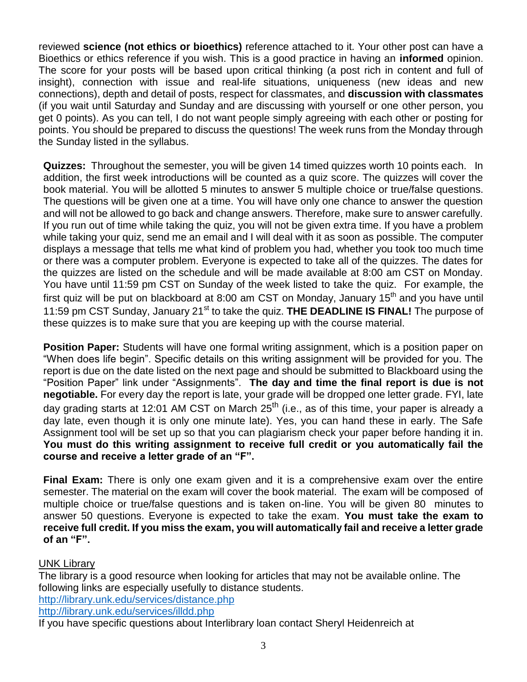reviewed **science (not ethics or bioethics)** reference attached to it. Your other post can have a Bioethics or ethics reference if you wish. This is a good practice in having an **informed** opinion. The score for your posts will be based upon critical thinking (a post rich in content and full of insight), connection with issue and real-life situations, uniqueness (new ideas and new connections), depth and detail of posts, respect for classmates, and **discussion with classmates**  (if you wait until Saturday and Sunday and are discussing with yourself or one other person, you get 0 points). As you can tell, I do not want people simply agreeing with each other or posting for points. You should be prepared to discuss the questions! The week runs from the Monday through the Sunday listed in the syllabus.

**Quizzes:** Throughout the semester, you will be given 14 timed quizzes worth 10 points each. In addition, the first week introductions will be counted as a quiz score. The quizzes will cover the book material. You will be allotted 5 minutes to answer 5 multiple choice or true/false questions. The questions will be given one at a time. You will have only one chance to answer the question and will not be allowed to go back and change answers. Therefore, make sure to answer carefully. If you run out of time while taking the quiz, you will not be given extra time. If you have a problem while taking your quiz, send me an email and I will deal with it as soon as possible. The computer displays a message that tells me what kind of problem you had, whether you took too much time or there was a computer problem. Everyone is expected to take all of the quizzes. The dates for the quizzes are listed on the schedule and will be made available at 8:00 am CST on Monday. You have until 11:59 pm CST on Sunday of the week listed to take the quiz. For example, the first quiz will be put on blackboard at 8:00 am CST on Monday, January 15<sup>th</sup> and you have until 11:59 pm CST Sunday, January 21<sup>st</sup> to take the quiz. **THE DEADLINE IS FINAL!** The purpose of these quizzes is to make sure that you are keeping up with the course material.

**Position Paper:** Students will have one formal writing assignment, which is a position paper on "When does life begin". Specific details on this writing assignment will be provided for you. The report is due on the date listed on the next page and should be submitted to Blackboard using the "Position Paper" link under "Assignments". **The day and time the final report is due is not negotiable.** For every day the report is late, your grade will be dropped one letter grade. FYI, late day grading starts at 12:01 AM CST on March 25<sup>th</sup> (i.e., as of this time, your paper is already a day late, even though it is only one minute late). Yes, you can hand these in early. The Safe Assignment tool will be set up so that you can plagiarism check your paper before handing it in. **You must do this writing assignment to receive full credit or you automatically fail the course and receive a letter grade of an "F".**

**Final Exam:** There is only one exam given and it is a comprehensive exam over the entire semester. The material on the exam will cover the book material. The exam will be composed of multiple choice or true/false questions and is taken on-line. You will be given 80 minutes to answer 50 questions. Everyone is expected to take the exam. **You must take the exam to receive full credit. If you miss the exam, you will automatically fail and receive a letter grade of an "F".**

# UNK Library

The library is a good resource when looking for articles that may not be available online. The following links are especially usefully to distance students. <http://library.unk.edu/services/distance.php>

<http://library.unk.edu/services/illdd.php>

If you have specific questions about Interlibrary loan contact Sheryl Heidenreich at